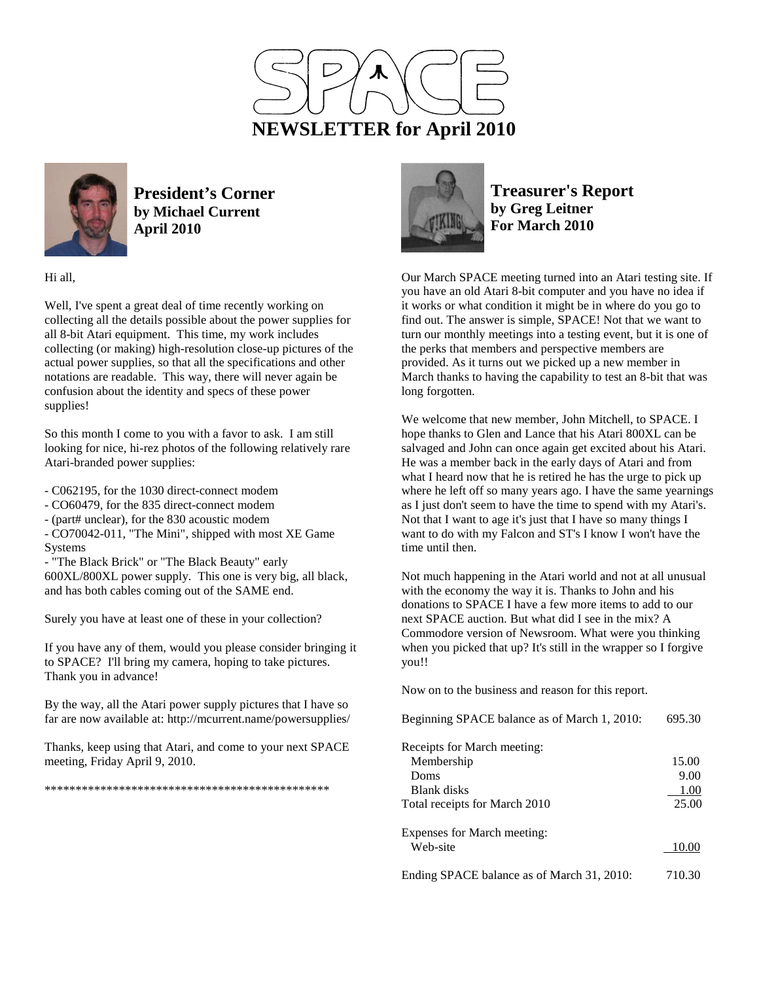



**President's Corner by Michael Current April 2010**

Hi all,

Well, I've spent a great deal of time recently working on collecting all the details possible about the power supplies for all 8-bit Atari equipment. This time, my work includes collecting (or making) high-resolution close-up pictures of the actual power supplies, so that all the specifications and other notations are readable. This way, there will never again be confusion about the identity and specs of these power supplies!

So this month I come to you with a favor to ask. I am still looking for nice, hi-rez photos of the following relatively rare Atari-branded power supplies:

- C062195, for the 1030 direct-connect modem
- CO60479, for the 835 direct-connect modem
- (part# unclear), for the 830 acoustic modem

- CO70042-011, "The Mini", shipped with most XE Game Systems

- "The Black Brick" or "The Black Beauty" early 600XL/800XL power supply. This one is very big, all black, and has both cables coming out of the SAME end.

Surely you have at least one of these in your collection?

If you have any of them, would you please consider bringing it to SPACE? I'll bring my camera, hoping to take pictures. Thank you in advance!

By the way, all the Atari power supply pictures that I have so far are now available at: http://mcurrent.name/powersupplies/

Thanks, keep using that Atari, and come to your next SPACE meeting, Friday April 9, 2010.

\*\*\*\*\*\*\*\*\*\*\*\*\*\*\*\*\*\*\*\*\*\*\*\*\*\*\*\*\*\*\*\*\*\*\*\*\*\*\*\*\*\*\*\*\*\*



**Treasurer's Report by Greg Leitner For March 2010** 

Our March SPACE meeting turned into an Atari testing site. If you have an old Atari 8-bit computer and you have no idea if it works or what condition it might be in where do you go to find out. The answer is simple, SPACE! Not that we want to turn our monthly meetings into a testing event, but it is one of the perks that members and perspective members are provided. As it turns out we picked up a new member in March thanks to having the capability to test an 8-bit that was long forgotten.

We welcome that new member, John Mitchell, to SPACE. I hope thanks to Glen and Lance that his Atari 800XL can be salvaged and John can once again get excited about his Atari. He was a member back in the early days of Atari and from what I heard now that he is retired he has the urge to pick up where he left off so many years ago. I have the same yearnings as I just don't seem to have the time to spend with my Atari's. Not that I want to age it's just that I have so many things I want to do with my Falcon and ST's I know I won't have the time until then.

Not much happening in the Atari world and not at all unusual with the economy the way it is. Thanks to John and his donations to SPACE I have a few more items to add to our next SPACE auction. But what did I see in the mix? A Commodore version of Newsroom. What were you thinking when you picked that up? It's still in the wrapper so I forgive you!!

Now on to the business and reason for this report.

| Beginning SPACE balance as of March 1, 2010: | 695.30 |
|----------------------------------------------|--------|
| Receipts for March meeting:                  |        |
| Membership                                   | 15.00  |
| Doms                                         | 9.00   |
| Blank disks                                  | 1.00   |
| Total receipts for March 2010                | 25.00  |
| Expenses for March meeting:                  |        |
| Web-site                                     | 10.00  |
| Ending SPACE balance as of March 31, 2010:   | 710.30 |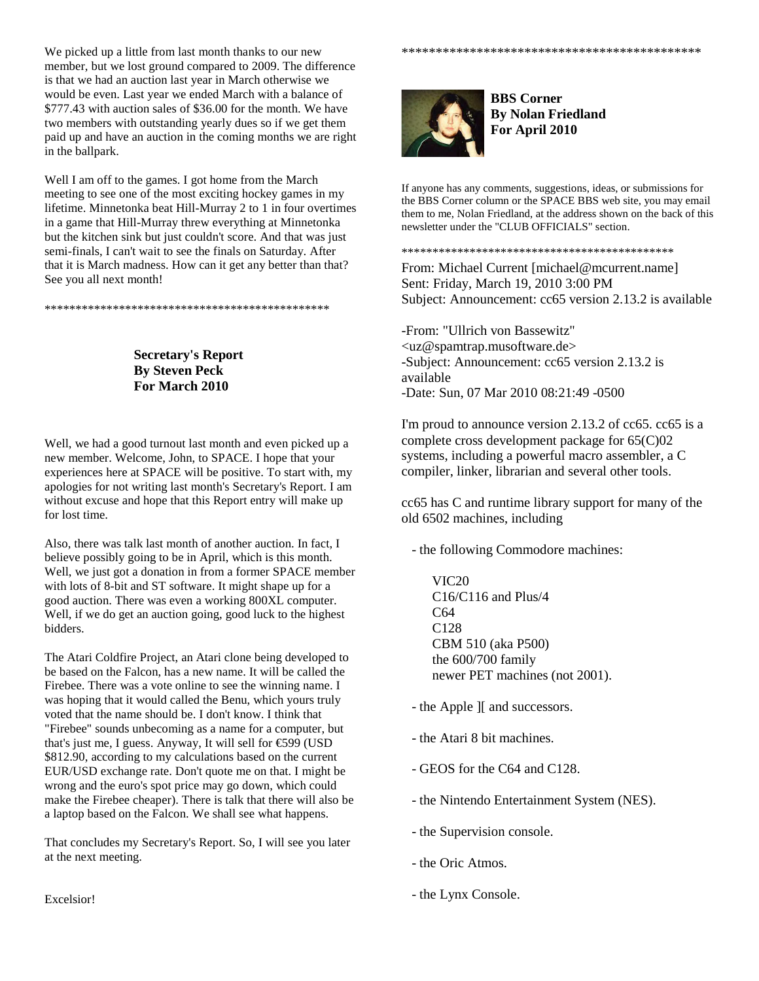We picked up a little from last month thanks to our new member, but we lost ground compared to 2009. The difference is that we had an auction last year in March otherwise we would be even. Last year we ended March with a balance of \$777.43 with auction sales of \$36.00 for the month. We have two members with outstanding yearly dues so if we get them paid up and have an auction in the coming months we are right in the ballpark.

Well I am off to the games. I got home from the March meeting to see one of the most exciting hockey games in my lifetime. Minnetonka beat Hill-Murray 2 to 1 in four overtimes in a game that Hill-Murray threw everything at Minnetonka but the kitchen sink but just couldn't score. And that was just semi-finals, I can't wait to see the finals on Saturday. After that it is March madness. How can it get any better than that? See you all next month!

\*\*\*\*\*\*\*\*\*\*\*\*\*\*\*\*\*\*\*\*\*\*\*\*\*\*\*\*\*\*\*\*\*\*\*\*\*\*\*\*\*\*\*\*\*\*

**Secretary's Report By Steven Peck For March 2010** 

Well, we had a good turnout last month and even picked up a new member. Welcome, John, to SPACE. I hope that your experiences here at SPACE will be positive. To start with, my apologies for not writing last month's Secretary's Report. I am without excuse and hope that this Report entry will make up for lost time.

Also, there was talk last month of another auction. In fact, I believe possibly going to be in April, which is this month. Well, we just got a donation in from a former SPACE member with lots of 8-bit and ST software. It might shape up for a good auction. There was even a working 800XL computer. Well, if we do get an auction going, good luck to the highest bidders.

The Atari Coldfire Project, an Atari clone being developed to be based on the Falcon, has a new name. It will be called the Firebee. There was a vote online to see the winning name. I was hoping that it would called the Benu, which yours truly voted that the name should be. I don't know. I think that "Firebee" sounds unbecoming as a name for a computer, but that's just me, I guess. Anyway, It will sell for €599 (USD \$812.90, according to my calculations based on the current EUR/USD exchange rate. Don't quote me on that. I might be wrong and the euro's spot price may go down, which could make the Firebee cheaper). There is talk that there will also be a laptop based on the Falcon. We shall see what happens.

That concludes my Secretary's Report. So, I will see you later at the next meeting.

**BBS Corner By Nolan Friedland For April 2010** 

\*\*\*\*\*\*\*\*\*\*\*\*\*\*\*\*\*\*\*\*\*\*\*\*\*\*\*\*\*\*\*\*\*\*\*\*\*\*\*\*\*\*\*\*

If anyone has any comments, suggestions, ideas, or submissions for the BBS Corner column or the SPACE BBS web site, you may email them to me, Nolan Friedland, at the address shown on the back of this newsletter under the "CLUB OFFICIALS" section.

\*\*\*\*\*\*\*\*\*\*\*\*\*\*\*\*\*\*\*\*\*\*\*\*\*\*\*\*\*\*\*\*\*\*\*\*\*\*\*\*\*\*\*\*

From: Michael Current [michael@mcurrent.name] Sent: Friday, March 19, 2010 3:00 PM Subject: Announcement: cc65 version 2.13.2 is available

-From: "Ullrich von Bassewitz" <uz@spamtrap.musoftware.de> -Subject: Announcement: cc65 version 2.13.2 is available -Date: Sun, 07 Mar 2010 08:21:49 -0500

I'm proud to announce version 2.13.2 of cc65. cc65 is a complete cross development package for 65(C)02 systems, including a powerful macro assembler, a C compiler, linker, librarian and several other tools.

cc65 has C and runtime library support for many of the old 6502 machines, including

- the following Commodore machines:

 VIC20 C16/C116 and Plus/4 C64 C128 CBM 510 (aka P500) the 600/700 family newer PET machines (not 2001).

- the Apple ][ and successors.
- the Atari 8 bit machines.
- GEOS for the C64 and C128.
- the Nintendo Entertainment System (NES).
- the Supervision console.
- the Oric Atmos.
- the Lynx Console.

Excelsior!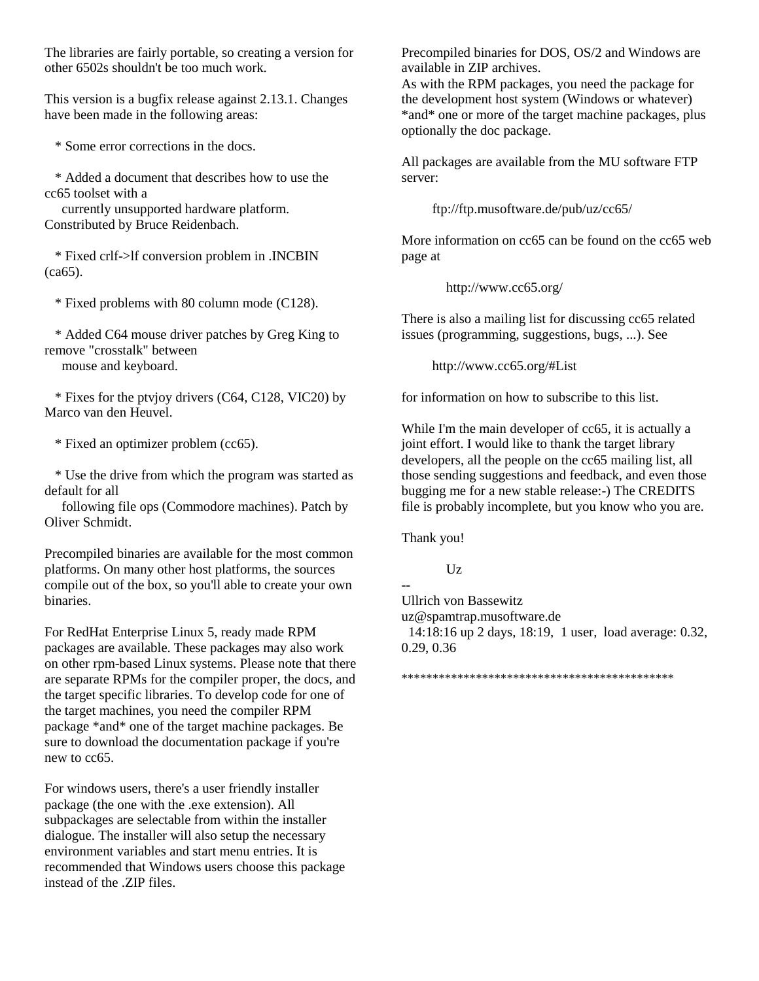The libraries are fairly portable, so creating a version for other 6502s shouldn't be too much work.

This version is a bugfix release against 2.13.1. Changes have been made in the following areas:

\* Some error corrections in the docs.

 \* Added a document that describes how to use the cc65 toolset with a

 currently unsupported hardware platform. Constributed by Bruce Reidenbach.

 \* Fixed crlf->lf conversion problem in .INCBIN (ca65).

\* Fixed problems with 80 column mode (C128).

 \* Added C64 mouse driver patches by Greg King to remove "crosstalk" between

mouse and keyboard.

 \* Fixes for the ptvjoy drivers (C64, C128, VIC20) by Marco van den Heuvel.

\* Fixed an optimizer problem (cc65).

 \* Use the drive from which the program was started as default for all

 following file ops (Commodore machines). Patch by Oliver Schmidt.

Precompiled binaries are available for the most common platforms. On many other host platforms, the sources compile out of the box, so you'll able to create your own binaries.

For RedHat Enterprise Linux 5, ready made RPM packages are available. These packages may also work on other rpm-based Linux systems. Please note that there are separate RPMs for the compiler proper, the docs, and the target specific libraries. To develop code for one of the target machines, you need the compiler RPM package \*and\* one of the target machine packages. Be sure to download the documentation package if you're new to cc65.

For windows users, there's a user friendly installer package (the one with the .exe extension). All subpackages are selectable from within the installer dialogue. The installer will also setup the necessary environment variables and start menu entries. It is recommended that Windows users choose this package instead of the .ZIP files.

Precompiled binaries for DOS, OS/2 and Windows are available in ZIP archives.

As with the RPM packages, you need the package for the development host system (Windows or whatever) \*and\* one or more of the target machine packages, plus optionally the doc package.

All packages are available from the MU software FTP server:

ftp://ftp.musoftware.de/pub/uz/cc65/

More information on cc65 can be found on the cc65 web page at

http://www.cc65.org/

There is also a mailing list for discussing cc65 related issues (programming, suggestions, bugs, ...). See

http://www.cc65.org/#List

for information on how to subscribe to this list.

While I'm the main developer of cc65, it is actually a joint effort. I would like to thank the target library developers, all the people on the cc65 mailing list, all those sending suggestions and feedback, and even those bugging me for a new stable release:-) The CREDITS file is probably incomplete, but you know who you are.

Thank you!

--

 $Uz$ 

Ullrich von Bassewitz uz@spamtrap.musoftware.de

 14:18:16 up 2 days, 18:19, 1 user, load average: 0.32, 0.29, 0.36

\*\*\*\*\*\*\*\*\*\*\*\*\*\*\*\*\*\*\*\*\*\*\*\*\*\*\*\*\*\*\*\*\*\*\*\*\*\*\*\*\*\*\*\*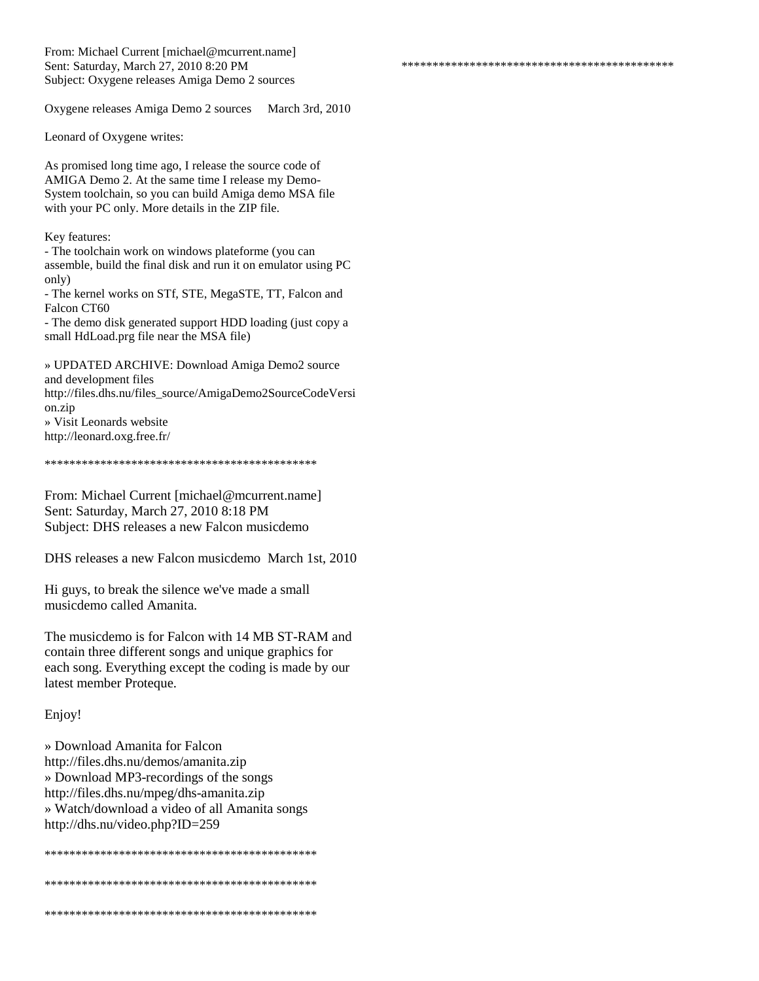From: Michael Current [michael@mcurrent.name] Sent: Saturday, March 27, 2010 8:20 PM Subject: Oxygene releases Amiga Demo 2 sources

Oxygene releases Amiga Demo 2 sources March 3rd, 2010

\*\*\*\*\*\*\*\*\*\*\*\*\*\*\*\*\*\*\*\*\*\*\*\*\*\*\*\*\*\*\*\*\*\*\*\*\*\*\*\*\*\*\*\*

Leonard of Oxygene writes:

As promised long time ago, I release the source code of AMIGA Demo 2. At the same time I release my Demo-System toolchain, so you can build Amiga demo MSA file with your PC only. More details in the ZIP file.

Key features:

- The toolchain work on windows plateforme (you can assemble, build the final disk and run it on emulator using PC only)

- The kernel works on STf, STE, MegaSTE, TT, Falcon and Falcon CT60

- The demo disk generated support HDD loading (just copy a small HdLoad.prg file near the MSA file)

» UPDATED ARCHIVE: Download Amiga Demo2 source and development files http://files.dhs.nu/files\_source/AmigaDemo2SourceCodeVersi on.zip

» Visit Leonards website http://leonard.oxg.free.fr/

\*\*\*\*\*\*\*\*\*\*\*\*\*\*\*\*\*\*\*\*\*\*\*\*\*\*\*\*\*\*\*\*\*\*\*\*\*\*\*\*\*\*\*\*

From: Michael Current [michael@mcurrent.name] Sent: Saturday, March 27, 2010 8:18 PM Subject: DHS releases a new Falcon musicdemo

DHS releases a new Falcon musicdemo March 1st, 2010

Hi guys, to break the silence we've made a small musicdemo called Amanita.

The musicdemo is for Falcon with 14 MB ST-RAM and contain three different songs and unique graphics for each song. Everything except the coding is made by our latest member Proteque.

Enjoy!

» Download Amanita for Falcon http://files.dhs.nu/demos/amanita.zip » Download MP3-recordings of the songs http://files.dhs.nu/mpeg/dhs-amanita.zip » Watch/download a video of all Amanita songs http://dhs.nu/video.php?ID=259